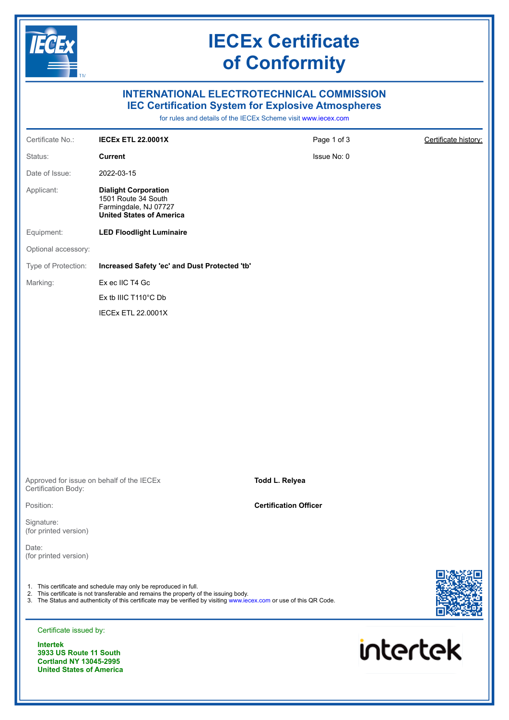

**Cortland NY 13045-2995 United States of America**

### **IECEx Certificate of Conformity**

### **INTERNATIONAL ELECTROTECHNICAL COMMISSION IEC Certification System for Explosive Atmospheres**

for rules and details of the IECEx Scheme visit [www.iecex.com](https://www.iecex.com)

| Certificate No.:                          | <b>IECEX ETL 22.0001X</b>                                                                                                                                 | Page 1 of 3                  | Certificate history: |
|-------------------------------------------|-----------------------------------------------------------------------------------------------------------------------------------------------------------|------------------------------|----------------------|
| Status:                                   | <b>Current</b>                                                                                                                                            | Issue No: 0                  |                      |
| Date of Issue:                            | 2022-03-15                                                                                                                                                |                              |                      |
| Applicant:                                | <b>Dialight Corporation</b><br>1501 Route 34 South<br>Farmingdale, NJ 07727<br><b>United States of America</b>                                            |                              |                      |
| Equipment:                                | <b>LED Floodlight Luminaire</b>                                                                                                                           |                              |                      |
| Optional accessory:                       |                                                                                                                                                           |                              |                      |
| Type of Protection:                       | Increased Safety 'ec' and Dust Protected 'tb'                                                                                                             |                              |                      |
| Marking:                                  | Ex ec IIC T4 Gc                                                                                                                                           |                              |                      |
|                                           | Ex tb IIIC T110°C Db                                                                                                                                      |                              |                      |
|                                           | <b>IECEX ETL 22.0001X</b>                                                                                                                                 |                              |                      |
|                                           |                                                                                                                                                           |                              |                      |
|                                           |                                                                                                                                                           |                              |                      |
|                                           |                                                                                                                                                           |                              |                      |
|                                           |                                                                                                                                                           |                              |                      |
|                                           |                                                                                                                                                           |                              |                      |
|                                           |                                                                                                                                                           |                              |                      |
|                                           |                                                                                                                                                           |                              |                      |
|                                           |                                                                                                                                                           |                              |                      |
|                                           |                                                                                                                                                           |                              |                      |
| Certification Body:                       | Approved for issue on behalf of the IECEx                                                                                                                 | Todd L. Relyea               |                      |
| Position:                                 |                                                                                                                                                           | <b>Certification Officer</b> |                      |
| Signature:<br>(for printed version)       |                                                                                                                                                           |                              |                      |
| Date:<br>(for printed version)            |                                                                                                                                                           |                              |                      |
|                                           |                                                                                                                                                           |                              |                      |
|                                           | 1. This certificate and schedule may only be reproduced in full.<br>2. This certificate is not transferable and remains the property of the issuing body. |                              |                      |
|                                           | 3. The Status and authenticity of this certificate may be verified by visiting www.iecex.com or use of this QR Code.                                      |                              |                      |
| Certificate issued by:                    |                                                                                                                                                           |                              |                      |
| <b>Intertek</b><br>3933 US Route 11 South |                                                                                                                                                           |                              | <b>intertek</b>      |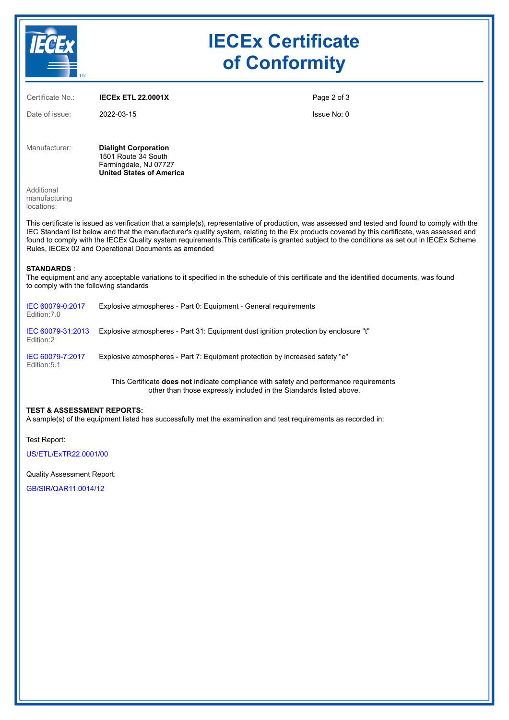

# **IECEx Certificate of Conformity**

| Certificate No.:                                                                                                                                                                                                                                                                                                                                                                                                                                                                                         | <b>IECEX ETL 22.0001X</b>                                                                                                               | Page 2 of 3 |  |
|----------------------------------------------------------------------------------------------------------------------------------------------------------------------------------------------------------------------------------------------------------------------------------------------------------------------------------------------------------------------------------------------------------------------------------------------------------------------------------------------------------|-----------------------------------------------------------------------------------------------------------------------------------------|-------------|--|
| Date of issue:                                                                                                                                                                                                                                                                                                                                                                                                                                                                                           | 2022-03-15                                                                                                                              | Issue No: 0 |  |
| Manufacturer:                                                                                                                                                                                                                                                                                                                                                                                                                                                                                            | <b>Dialight Corporation</b><br>1501 Route 34 South<br>Farmingdale, NJ 07727<br><b>United States of America</b>                          |             |  |
| Additional<br>manufacturing<br>locations:                                                                                                                                                                                                                                                                                                                                                                                                                                                                |                                                                                                                                         |             |  |
| This certificate is issued as verification that a sample(s), representative of production, was assessed and tested and found to comply with the<br>IEC Standard list below and that the manufacturer's quality system, relating to the Ex products covered by this certificate, was assessed and<br>found to comply with the IECEx Quality system requirements. This certificate is granted subject to the conditions as set out in IECEx Scheme<br>Rules, IECEx 02 and Operational Documents as amended |                                                                                                                                         |             |  |
| <b>STANDARDS:</b><br>to comply with the following standards                                                                                                                                                                                                                                                                                                                                                                                                                                              | The equipment and any acceptable variations to it specified in the schedule of this certificate and the identified documents, was found |             |  |
| IEC 60079-0:2017<br>Fdition: 7.0                                                                                                                                                                                                                                                                                                                                                                                                                                                                         | Explosive atmospheres - Part 0: Equipment - General requirements                                                                        |             |  |
| IEC 60079-31:2013<br>Edition:2                                                                                                                                                                                                                                                                                                                                                                                                                                                                           | Explosive atmospheres - Part 31: Equipment dust ignition protection by enclosure "t"                                                    |             |  |
| IEC 60079-7:2017<br>Edition: 5.1                                                                                                                                                                                                                                                                                                                                                                                                                                                                         | Explosive atmospheres - Part 7: Equipment protection by increased safety "e"                                                            |             |  |

This Certificate **does not** indicate compliance with safety and performance requirements other than those expressly included in the Standards listed above.

#### **TEST & ASSESSMENT REPORTS:**

A sample(s) of the equipment listed has successfully met the examination and test requirements as recorded in:

Test Report:

[US/ETL/ExTR22.0001/00](https://www.iecex-certs.com/#/deliverables/REPORT/80508/view)

Quality Assessment Report:

[GB/SIR/QAR11.0014/12](https://www.iecex-certs.com/#/deliverables/REPORT/81184/view)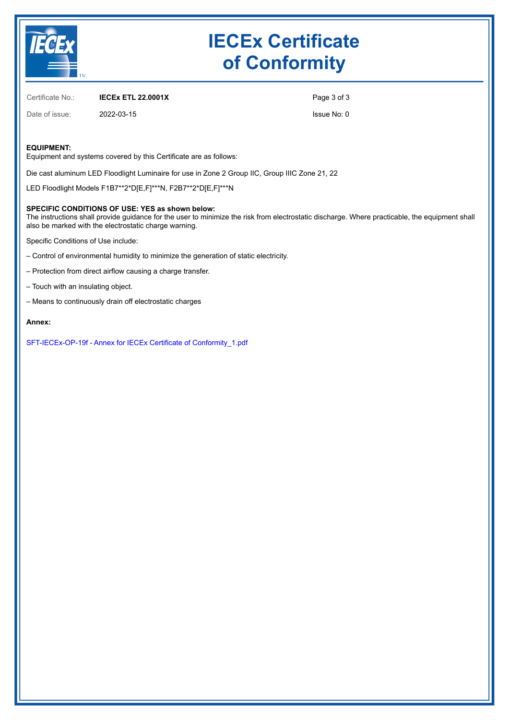

# **IECEx Certificate of Conformity**

Certificate No.: **IECEx ETL 22.0001X**

Date of issue: 2022-03-15

Page 3 of 3

Issue No: 0

#### **EQUIPMENT:**

Equipment and systems covered by this Certificate are as follows:

Die cast aluminum LED Floodlight Luminaire for use in Zone 2 Group IIC, Group IIIC Zone 21, 22

LED Floodlight Models F1B7\*\*2\*D[E,F]\*\*\*N, F2B7\*\*2\*D[E,F]\*\*\*N

#### **SPECIFIC CONDITIONS OF USE: YES as shown below:**

The instructions shall provide guidance for the user to minimize the risk from electrostatic discharge. Where practicable, the equipment shall also be marked with the electrostatic charge warning.

Specific Conditions of Use include:

- Control of environmental humidity to minimize the generation of static electricity.
- Protection from direct airflow causing a charge transfer.
- Touch with an insulating object.
- Means to continuously drain off electrostatic charges

#### **Annex:**

[SFT-IECEx-OP-19f - Annex for IECEx Certificate of Conformity\\_1.pdf](https://www.iecex-certs.com/#/deliverables/CERT/58867/view)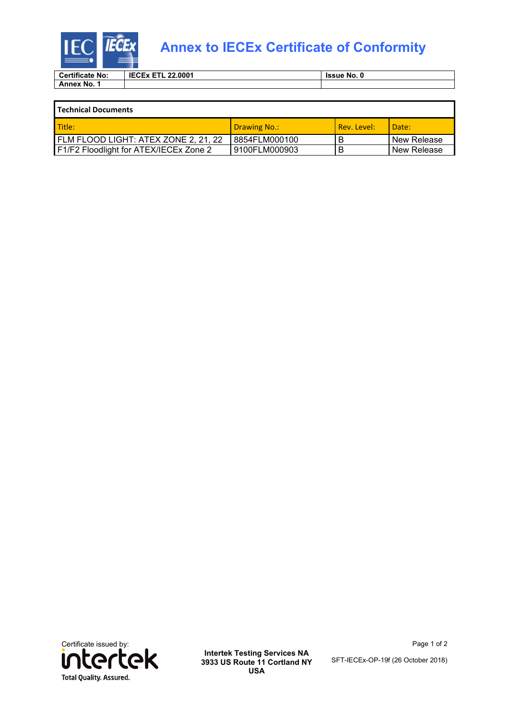

### **Annex to IECEx Certificate of Conformity**

| <b>Certificate No:</b> | <b>IECEX</b><br>22.0001<br>--<br>- | <b>Issue No. 0</b> |  |
|------------------------|------------------------------------|--------------------|--|
| Annex No.              |                                    |                    |  |

| l Technical Documents                  |               |             |               |  |
|----------------------------------------|---------------|-------------|---------------|--|
| l Title:                               | Drawing No.:  | Rev. Level: | Date:         |  |
| FLM FLOOD LIGHT: ATEX ZONE 2, 21, 22   | 8854FLM000100 | B           | l New Release |  |
| F1/F2 Floodlight for ATEX/IECEx Zone 2 | 9100FLM000903 | B           | New Release   |  |



**Intertek Testing Services NA 3933 US Route 11 Cortland NY USA**

Page 1 of 2

SFT-IECEx-OP-19f (26 October 2018)